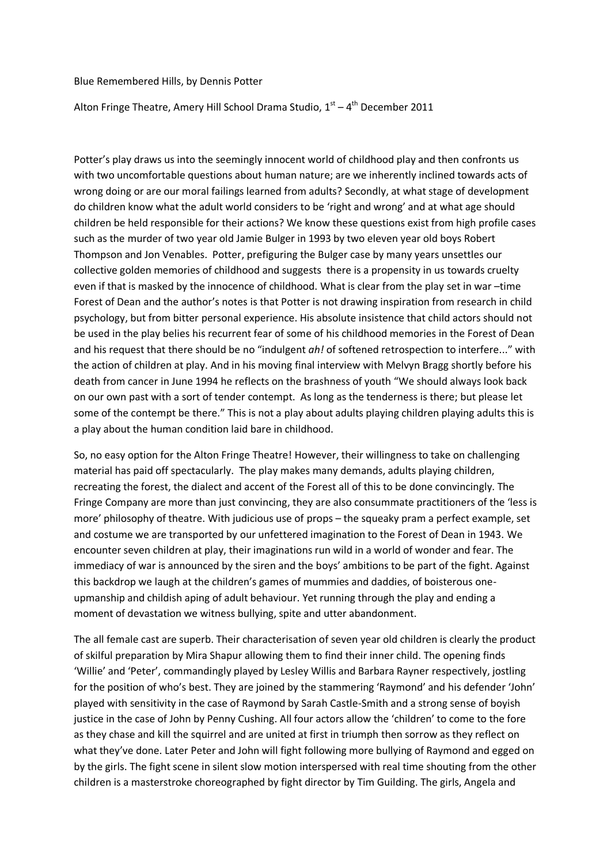## Blue Remembered Hills, by Dennis Potter

## Alton Fringe Theatre, Amery Hill School Drama Studio, 1<sup>st</sup> – 4<sup>th</sup> December 2011

Potter's play draws us into the seemingly innocent world of childhood play and then confronts us with two uncomfortable questions about human nature; are we inherently inclined towards acts of wrong doing or are our moral failings learned from adults? Secondly, at what stage of development do children know what the adult world considers to be 'right and wrong' and at what age should children be held responsible for their actions? We know these questions exist from high profile cases such as the murder of two year old Jamie Bulger in 1993 by two eleven year old boys Robert Thompson and Jon Venables. Potter, prefiguring the Bulger case by many years unsettles our collective golden memories of childhood and suggests there is a propensity in us towards cruelty even if that is masked by the innocence of childhood. What is clear from the play set in war –time Forest of Dean and the author's notes is that Potter is not drawing inspiration from research in child psychology, but from bitter personal experience. His absolute insistence that child actors should not be used in the play belies his recurrent fear of some of his childhood memories in the Forest of Dean and his request that there should be no "indulgent *ah!* of softened retrospection to interfere..." with the action of children at play. And in his moving final interview with Melvyn Bragg shortly before his death from cancer in June 1994 he reflects on the brashness of youth "We should always look back on our own past with a sort of tender contempt. As long as the tenderness is there; but please let some of the contempt be there." This is not a play about adults playing children playing adults this is a play about the human condition laid bare in childhood.

So, no easy option for the Alton Fringe Theatre! However, their willingness to take on challenging material has paid off spectacularly. The play makes many demands, adults playing children, recreating the forest, the dialect and accent of the Forest all of this to be done convincingly. The Fringe Company are more than just convincing, they are also consummate practitioners of the 'less is more' philosophy of theatre. With judicious use of props – the squeaky pram a perfect example, set and costume we are transported by our unfettered imagination to the Forest of Dean in 1943. We encounter seven children at play, their imaginations run wild in a world of wonder and fear. The immediacy of war is announced by the siren and the boys' ambitions to be part of the fight. Against this backdrop we laugh at the children's games of mummies and daddies, of boisterous oneupmanship and childish aping of adult behaviour. Yet running through the play and ending a moment of devastation we witness bullying, spite and utter abandonment.

The all female cast are superb. Their characterisation of seven year old children is clearly the product of skilful preparation by Mira Shapur allowing them to find their inner child. The opening finds 'Willie' and 'Peter', commandingly played by Lesley Willis and Barbara Rayner respectively, jostling for the position of who's best. They are joined by the stammering 'Raymond' and his defender 'John' played with sensitivity in the case of Raymond by Sarah Castle-Smith and a strong sense of boyish justice in the case of John by Penny Cushing. All four actors allow the 'children' to come to the fore as they chase and kill the squirrel and are united at first in triumph then sorrow as they reflect on what they've done. Later Peter and John will fight following more bullying of Raymond and egged on by the girls. The fight scene in silent slow motion interspersed with real time shouting from the other children is a masterstroke choreographed by fight director by Tim Guilding. The girls, Angela and